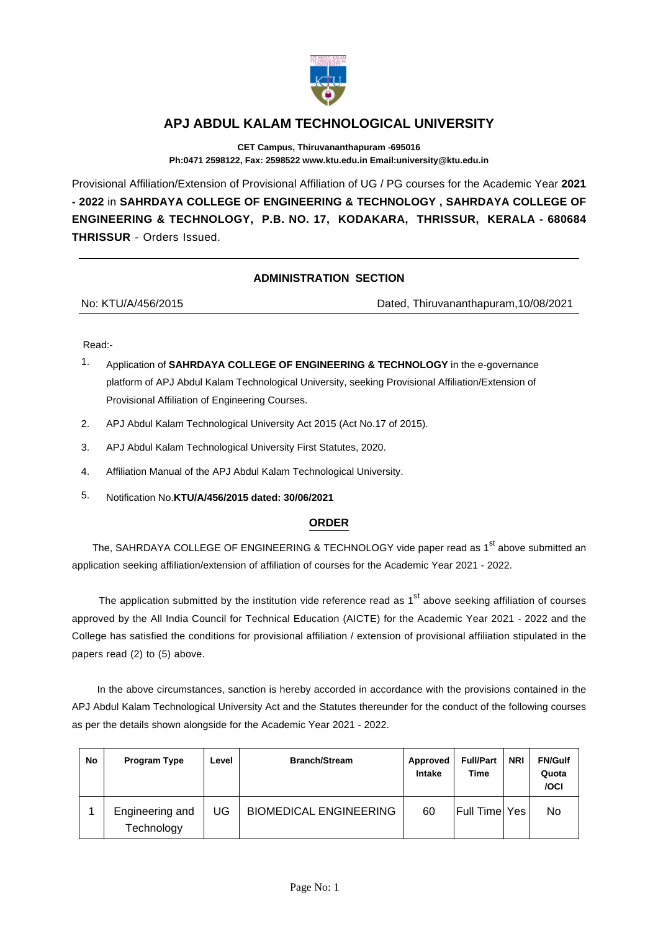

## **APJ ABDUL KALAM TECHNOLOGICAL UNIVERSITY**

**CET Campus, Thiruvananthapuram -695016 Ph:0471 2598122, Fax: 2598522 www.ktu.edu.in Email:university@ktu.edu.in**

Provisional Affiliation/Extension of Provisional Affiliation of UG / PG courses for the Academic Year **2021 - 2022** in **SAHRDAYA COLLEGE OF ENGINEERING & TECHNOLOGY , SAHRDAYA COLLEGE OF ENGINEERING & TECHNOLOGY, P.B. NO. 17, KODAKARA, THRISSUR, KERALA - 680684 THRISSUR** - Orders Issued.

## **ADMINISTRATION SECTION**

| No: KTU/A/456/2015 | Dated, Thiruvananthapuram, 10/08/2021 |
|--------------------|---------------------------------------|
|                    |                                       |

Read:-

- 1. Application of **SAHRDAYA COLLEGE OF ENGINEERING & TECHNOLOGY** in the e-governance platform of APJ Abdul Kalam Technological University, seeking Provisional Affiliation/Extension of Provisional Affiliation of Engineering Courses.
- 2. APJ Abdul Kalam Technological University Act 2015 (Act No.17 of 2015).
- 3. APJ Abdul Kalam Technological University First Statutes, 2020.
- 4. Affiliation Manual of the APJ Abdul Kalam Technological University.
- 5. Notification No.**KTU/A/456/2015 dated: 30/06/2021**

## **ORDER**

The, SAHRDAYA COLLEGE OF ENGINEERING & TECHNOLOGY vide paper read as 1<sup>st</sup> above submitted an application seeking affiliation/extension of affiliation of courses for the Academic Year 2021 - 2022.

The application submitted by the institution vide reference read as  $1<sup>st</sup>$  above seeking affiliation of courses approved by the All India Council for Technical Education (AICTE) for the Academic Year 2021 - 2022 and the College has satisfied the conditions for provisional affiliation / extension of provisional affiliation stipulated in the papers read (2) to (5) above.

 In the above circumstances, sanction is hereby accorded in accordance with the provisions contained in the APJ Abdul Kalam Technological University Act and the Statutes thereunder for the conduct of the following courses as per the details shown alongside for the Academic Year 2021 - 2022.

| No | Program Type                  | Level | <b>Branch/Stream</b>          | Approved<br>Intake | <b>Full/Part</b><br>Time | <b>NRI</b> | <b>FN/Gulf</b><br>Quota<br>/OCI |
|----|-------------------------------|-------|-------------------------------|--------------------|--------------------------|------------|---------------------------------|
|    | Engineering and<br>Technology | JG    | <b>BIOMEDICAL ENGINEERING</b> | 60                 | Full Time                | Yes        | No                              |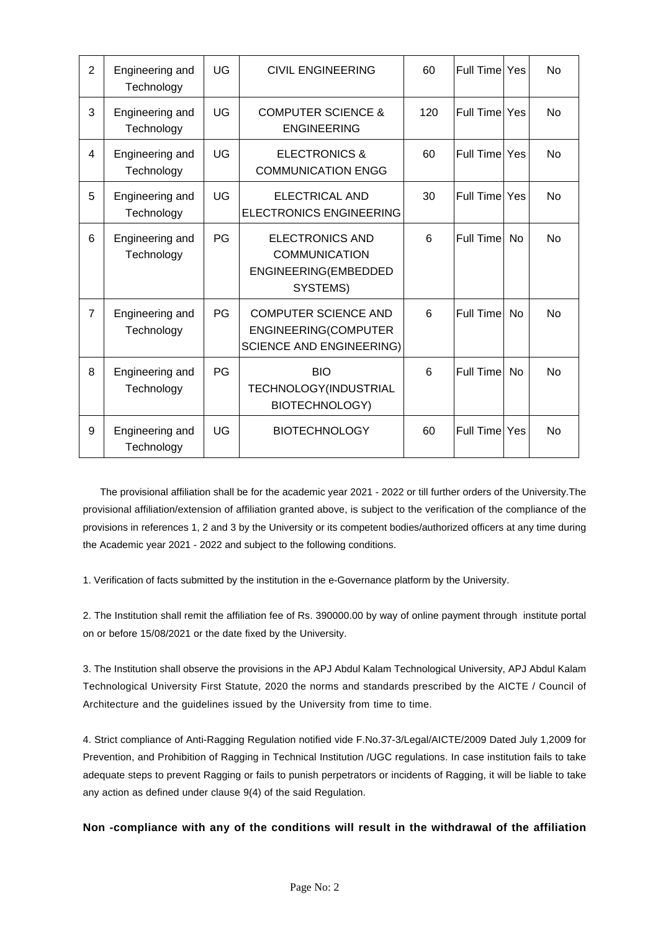| $\overline{2}$ | Engineering and<br>Technology | UG | <b>CIVIL ENGINEERING</b>                                                               | 60  | Full Time Yes    |           | <b>No</b> |
|----------------|-------------------------------|----|----------------------------------------------------------------------------------------|-----|------------------|-----------|-----------|
| 3              | Engineering and<br>Technology | UG | <b>COMPUTER SCIENCE &amp;</b><br><b>ENGINEERING</b>                                    | 120 | Full Time Yes    |           | <b>No</b> |
| 4              | Engineering and<br>Technology | UG | <b>ELECTRONICS &amp;</b><br><b>COMMUNICATION ENGG</b>                                  | 60  | Full Time Yes    |           | <b>No</b> |
| 5              | Engineering and<br>Technology | UG | ELECTRICAL AND<br><b>ELECTRONICS ENGINEERING</b>                                       | 30  | Full Time Yes    |           | <b>No</b> |
| 6              | Engineering and<br>Technology | PG | <b>ELECTRONICS AND</b><br><b>COMMUNICATION</b><br>ENGINEERING(EMBEDDED<br>SYSTEMS)     | 6   | <b>Full Time</b> | <b>No</b> | <b>No</b> |
| $\overline{7}$ | Engineering and<br>Technology | PG | <b>COMPUTER SCIENCE AND</b><br>ENGINEERING(COMPUTER<br><b>SCIENCE AND ENGINEERING)</b> | 6   | <b>Full Time</b> | <b>No</b> | <b>No</b> |
| 8              | Engineering and<br>Technology | PG | <b>BIO</b><br>TECHNOLOGY(INDUSTRIAL<br>BIOTECHNOLOGY)                                  | 6   | Full Time        | <b>No</b> | <b>No</b> |
| 9              | Engineering and<br>Technology | UG | <b>BIOTECHNOLOGY</b>                                                                   | 60  | Full Time Yes    |           | <b>No</b> |

 The provisional affiliation shall be for the academic year 2021 - 2022 or till further orders of the University.The provisional affiliation/extension of affiliation granted above, is subject to the verification of the compliance of the provisions in references 1, 2 and 3 by the University or its competent bodies/authorized officers at any time during the Academic year 2021 - 2022 and subject to the following conditions.

1. Verification of facts submitted by the institution in the e-Governance platform by the University.

2. The Institution shall remit the affiliation fee of Rs. 390000.00 by way of online payment through institute portal on or before 15/08/2021 or the date fixed by the University.

3. The Institution shall observe the provisions in the APJ Abdul Kalam Technological University, APJ Abdul Kalam Technological University First Statute, 2020 the norms and standards prescribed by the AICTE / Council of Architecture and the guidelines issued by the University from time to time.

4. Strict compliance of Anti-Ragging Regulation notified vide F.No.37-3/Legal/AICTE/2009 Dated July 1,2009 for Prevention, and Prohibition of Ragging in Technical Institution /UGC regulations. In case institution fails to take adequate steps to prevent Ragging or fails to punish perpetrators or incidents of Ragging, it will be liable to take any action as defined under clause 9(4) of the said Regulation.

**Non -compliance with any of the conditions will result in the withdrawal of the affiliation**